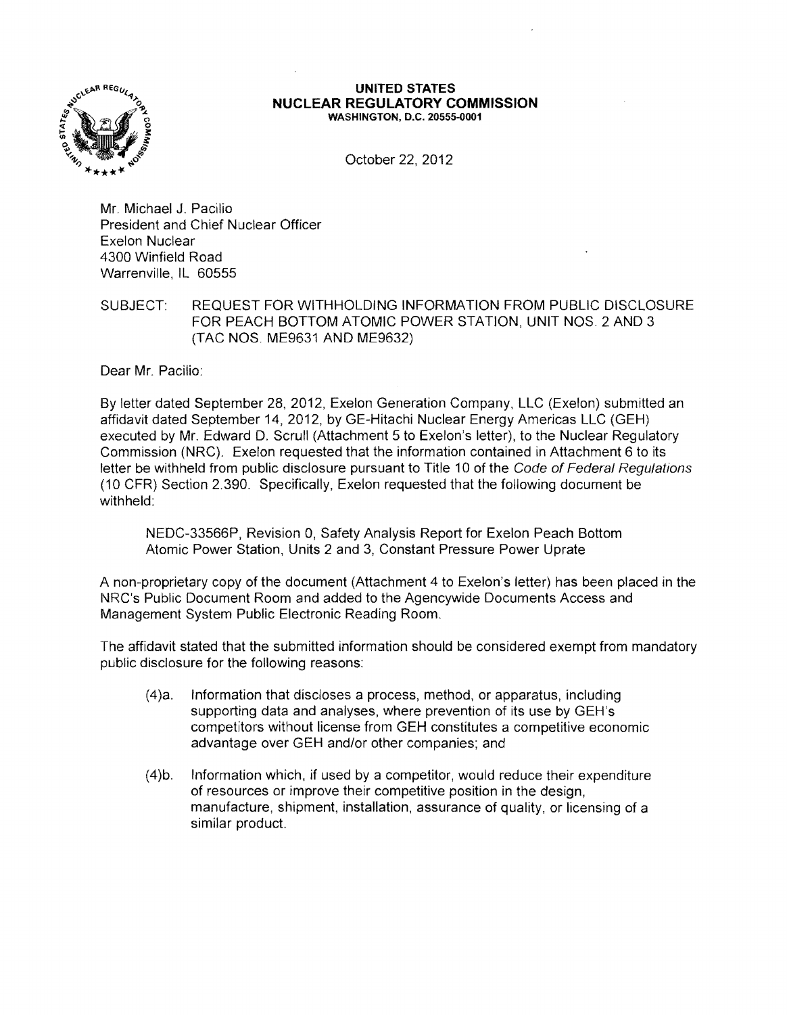

## **UNITED STATES NUCLEAR REGULATORY COMMISSION** WASHINGTON, D.C. 20555-0001

October 22, 2012

Mr. Michael J. Pacilio President and Chief Nuclear Officer Exelon Nuclear 4300 Winfield Road Warrenville, IL 60555

## SUBJECT: REQUEST FOR WITHHOLDING INFORMATION FROM PUBLIC DISCLOSURE FOR PEACH BOTTOM ATOMIC POWER STATION, UNIT NOS. 2 AND 3 (TAC NOS. ME9631 AND ME9632)

Dear Mr. Pacilio:

By letter dated September 28, 2012, Exelon Generation Company, LLC (Exelon) submitted an affidavit dated September 14,2012, by GE-Hitachi Nuclear Energy Americas LLC (GEH) executed by Mr. Edward D. Scrull (Attachment 5 to Exelon's letter), to the Nuclear Regulatory Commission (NRC). Exelon requested that the information contained in Attachment 6 to its letter be withheld from public disclosure pursuant to Title 10 of the Code of Federal Regulations (10 CFR) Section 2.390. Specifically, Exelon requested that the following document be withheld:

NEDC-33566P, Revision 0, Safety Analysis Report for Exelon Peach Bottom Atomic Power Station, Units 2 and 3, Constant Pressure Power Uprate

A non-proprietary copy of the document (Attachment 4 to Exelon's letter) has been placed in the NRC's Public Document Room and added to the Agencywide Documents Access and Management System Public Electronic Reading Room.

The affidavit stated that the submitted information should be considered exempt from mandatory public disclosure for the following reasons:

- $(4)a$ . Information that discloses a process, method, or apparatus, including supporting data and analyses, where prevention of its use by GEH's competitors without license from GEH constitutes a competitive economic advantage over GEH and/or other companies; and
- (4)b. Information which, if used by a competitor, would reduce their expenditure of resources or improve their competitive position in the design, manufacture, shipment, installation, assurance of quality, or licensing of a similar product.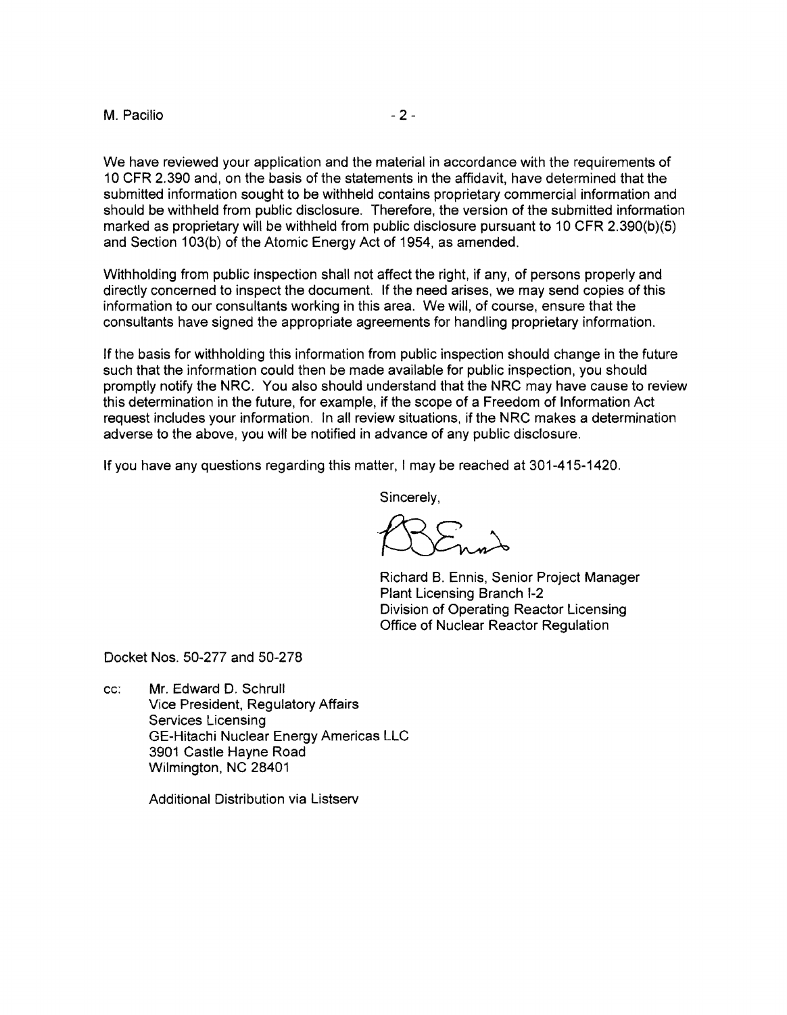## $M.$  Pacilio  $-2-$

We have reviewed your application and the material in accordance with the requirements of 10 CFR 2.390 and, on the basis of the statements in the affidavit, have determined that the submitted information sought to be withheld contains proprietary commercial information and should be withheld from public disclosure. Therefore, the version of the submitted information marked as proprietary will be withheld from public disclosure pursuant to 10 CFR 2.390(b)(5) and Section 103(b) of the Atomic Energy Act of 1954, as amended.

Withholding from public inspection shall not affect the right, if any, of persons properly and directly concerned to inspect the document. If the need arises, we may send copies of this information to our consultants working in this area. We will, of course, ensure that the consultants have signed the appropriate agreements for handling proprietary information.

If the basis for withholding this information from public inspection should change in the future such that the information could then be made available for public inspection, you should promptly notify the NRC. You also should understand that the NRC may have cause to review this determination in the future, for example, if the scope of a Freedom of Information Act request includes your information. In all review situations, if the NRC makes a determination adverse to the above, you will be notified in advance of any public disclosure.

If you have any questions regarding this matter, I may be reached at 301-415-1420.

Sincerely,

Richard B. Ennis, Senior Project Manager Plant Licensing Branch 1-2 Division of Operating Reactor Licensing Office of Nuclear Reactor Regulation

Docket Nos. 50-277 and 50-278

cc: Mr. Edward D. Schrull Vice President, Regulatory Affairs Services Licensing GE-Hitachi Nuclear Energy Americas LLC 3901 Castle Hayne Road Wilmington, NC 28401

Additional Distribution via Listserv